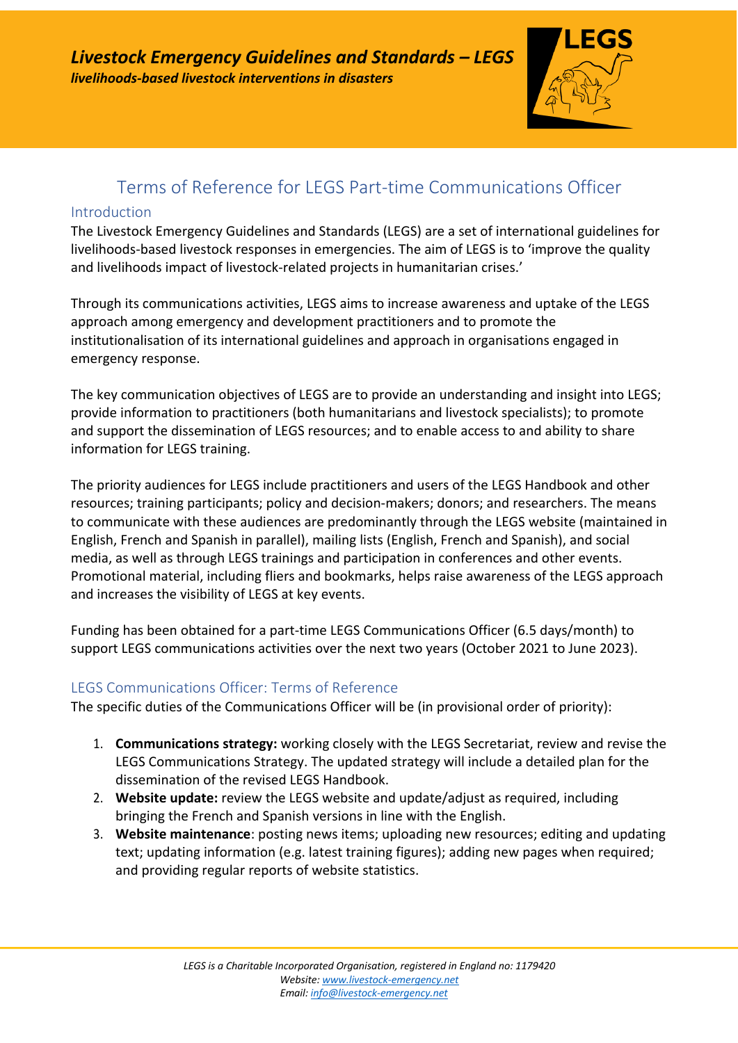

# Terms of Reference for LEGS Part-time Communications Officer

#### Introduction

The Livestock Emergency Guidelines and Standards (LEGS) are a set of international guidelines for livelihoods-based livestock responses in emergencies. The aim of LEGS is to 'improve the quality and livelihoods impact of livestock-related projects in humanitarian crises.'

Through its communications activities, LEGS aims to increase awareness and uptake of the LEGS approach among emergency and development practitioners and to promote the institutionalisation of its international guidelines and approach in organisations engaged in emergency response.

The key communication objectives of LEGS are to provide an understanding and insight into LEGS; provide information to practitioners (both humanitarians and livestock specialists); to promote and support the dissemination of LEGS resources; and to enable access to and ability to share information for LEGS training.

The priority audiences for LEGS include practitioners and users of the LEGS Handbook and other resources; training participants; policy and decision-makers; donors; and researchers. The means to communicate with these audiences are predominantly through the LEGS website (maintained in English, French and Spanish in parallel), mailing lists (English, French and Spanish), and social media, as well as through LEGS trainings and participation in conferences and other events. Promotional material, including fliers and bookmarks, helps raise awareness of the LEGS approach and increases the visibility of LEGS at key events.

Funding has been obtained for a part-time LEGS Communications Officer (6.5 days/month) to support LEGS communications activities over the next two years (October 2021 to June 2023).

### LEGS Communications Officer: Terms of Reference

The specific duties of the Communications Officer will be (in provisional order of priority):

- 1. **Communications strategy:** working closely with the LEGS Secretariat, review and revise the LEGS Communications Strategy. The updated strategy will include a detailed plan for the dissemination of the revised LEGS Handbook.
- 2. **Website update:** review the LEGS website and update/adjust as required, including bringing the French and Spanish versions in line with the English.
- 3. **Website maintenance**: posting news items; uploading new resources; editing and updating text; updating information (e.g. latest training figures); adding new pages when required; and providing regular reports of website statistics.